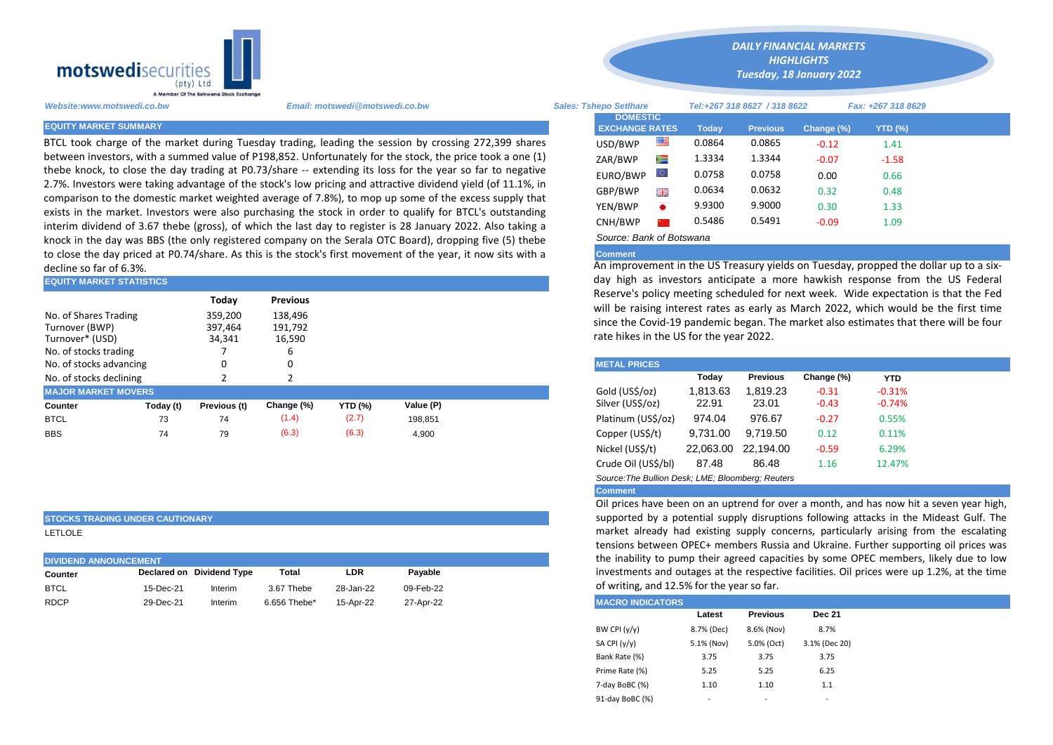

BTCL took charge of the market during Tuesday trading, leading the session by crossing 272,399 shares between investors, with a summed value of P198,852. Unfortunately for the stock, the price took a one (1) thebe knock, to close the day trading at P0.73/share -- extending its loss for the year so far to negative 2.7%. Investors were taking advantage of the stock's low pricing and attractive dividend yield (of 11.1%, in comparison to the domestic market weighted average of 7.8%), to mop up some of the excess supply that exists in the market. Investors were also purchasing the stock in order to qualify for BTCL's outstanding interim dividend of 3.67 thebe (gross), of which the last day to register is 28 January 2022. Also taking a knock in the day was BBS (the only registered company on the Serala OTC Board), dropping five (5) thebe to close the day priced at P0.74/share. As this is the stock's first movement of the year, it now sits with a decline so far of 6.3%.

| <b>EQUITY MARKET STATISTICS</b> |           |              |                 |                | day high as investors anticipate a more hawkish response from t |                                                                                                                                            |          |                 |            |            |  |  |
|---------------------------------|-----------|--------------|-----------------|----------------|-----------------------------------------------------------------|--------------------------------------------------------------------------------------------------------------------------------------------|----------|-----------------|------------|------------|--|--|
|                                 |           | Today        | <b>Previous</b> |                |                                                                 | Reserve's policy meeting scheduled for next week. Wide expectation<br>will be raising interest rates as early as March 2022, which would b |          |                 |            |            |  |  |
| No. of Shares Trading           |           | 359.200      | 138.496         |                |                                                                 | since the Covid-19 pandemic began. The market also estimates that the                                                                      |          |                 |            |            |  |  |
| Turnover (BWP)                  |           | 397,464      | 191,792         |                |                                                                 |                                                                                                                                            |          |                 |            |            |  |  |
| Turnover* (USD)                 |           | 34,341       | 16,590          |                |                                                                 | rate hikes in the US for the year 2022.                                                                                                    |          |                 |            |            |  |  |
| No. of stocks trading           |           |              | b               |                |                                                                 |                                                                                                                                            |          |                 |            |            |  |  |
| No. of stocks advancing         |           |              |                 |                |                                                                 | <b>METAL PRICES</b>                                                                                                                        |          |                 |            |            |  |  |
| No. of stocks declining         |           |              |                 |                |                                                                 |                                                                                                                                            | Today    | <b>Previous</b> | Change (%) | <b>YTD</b> |  |  |
| <b>MAJOR MARKET MOVERS</b>      |           |              |                 |                |                                                                 | Gold (US\$/oz)                                                                                                                             | 1.813.63 | 1.819.23        | $-0.31$    | $-0.31%$   |  |  |
| Counter                         | Today (t) | Previous (t) | Change (%)      | <b>YTD (%)</b> | Value (P)                                                       | Silver (US\$/oz)                                                                                                                           | 22.91    | 23.01           | $-0.43$    | $-0.74%$   |  |  |
| <b>BTCL</b>                     | 73        | 74           | (1.4)           | (2.7)          | 198.851                                                         | Platinum (US\$/oz)                                                                                                                         | 974.04   | 976.67          | $-0.27$    | 0.55%      |  |  |
| <b>BBS</b>                      | 74        | 79           | (6.3)           | (6.3)          | 4,900                                                           | Copper (US\$/t)                                                                                                                            | 9,731.00 | 9.719.50        | 0.12       | 0.11%      |  |  |
|                                 |           |              |                 |                |                                                                 |                                                                                                                                            |          |                 |            |            |  |  |

## **STOCKS TRADING UNDER CAUTIONARY**

LETLOLE

| <b>DIVIDEND ANNOUNCEMENT</b> | the inability to pur |                           |              |           |           |                         |
|------------------------------|----------------------|---------------------------|--------------|-----------|-----------|-------------------------|
| Counter                      |                      | Declared on Dividend Type | Total        | LDR       | Pavable   | investments and or      |
| <b>BTCL</b>                  | 15-Dec-21            | Interim                   | 3.67 Thebe   | 28-Jan-22 | 09-Feb-22 | of writing, and 12.5    |
| <b>RDCP</b>                  | 29-Dec-21            | Interim                   | 6.656 Thebe* | 15-Apr-22 | 27-Apr-22 | <b>MACRO INDICATORS</b> |

*Website:www.motswedi.co.bw Email: motswedi@motswedi.co.bw Sales: Tshepo Setlhare Tel:+267 318 8627 / 318 8622 Fax: +267 318 8629*  **EQUITY MARKET SUMMARY Today Previous Change (%) YTD (%)**  $\text{USD/BWP}$   $\blacksquare$  0.0864 0.0865 -0.12 1.41 ZAR/BWP 1.3334 1.3344 -0.07 -1.58 EURO/BWP 0.0758 0.0758 0.00 0.66 GBP/BWP **ELE** 0.0634 0.0632 0.32 0.48 YEN/BWP 9.9300 9.9000 0.30 1.33 CNH/BWP 2 0.5486 0.5491 -0.09 1.09 **DOMESTIC EXCHANGE RATES**

*DAILY FINANCIAL MARKETS HIGHLIGHTS Tuesday, 18 January 2022*

# *Source: Bank of Botswana*

# **Comment**

An improvement in the US Treasury yields on Tuesday, propped the dollar up to a sixday high as investors anticipate a more hawkish response from the US Federal Reserve's policy meeting scheduled for next week. Wide expectation is that the Fed will be raising interest rates as early as March 2022, which would be the first time since the Covid-19 pandemic began. The market also estimates that there will be four rate hikes in the US for the year 2022.

| <b>METAL PRICES</b>                               |           |                 |            |            |  |  |  |  |  |  |
|---------------------------------------------------|-----------|-----------------|------------|------------|--|--|--|--|--|--|
|                                                   | Today     | <b>Previous</b> | Change (%) | <b>YTD</b> |  |  |  |  |  |  |
| Gold (US\$/oz)                                    | 1,813.63  | 1,819.23        | $-0.31$    | $-0.31%$   |  |  |  |  |  |  |
| Silver (US\$/oz)                                  | 22.91     | 23.01           | $-0.43$    | $-0.74%$   |  |  |  |  |  |  |
| Platinum (US\$/oz)                                | 974.04    | 976.67          | $-0.27$    | 0.55%      |  |  |  |  |  |  |
| Copper (US\$/t)                                   | 9,731.00  | 9.719.50        | 0.12       | 0.11%      |  |  |  |  |  |  |
| Nickel (US\$/t)                                   | 22,063.00 | 22.194.00       | $-0.59$    | 6.29%      |  |  |  |  |  |  |
| Crude Oil (US\$/bl)                               | 87.48     | 86.48           | 1.16       | 12.47%     |  |  |  |  |  |  |
| Source: The Bullion Desk: LME: Bloomberg: Reuters |           |                 |            |            |  |  |  |  |  |  |

### **Comment**

Oil prices have been on an uptrend for over a month, and has now hit a seven year high, supported by a potential supply disruptions following attacks in the Mideast Gulf. The market already had existing supply concerns, particularly arising from the escalating tensions between OPEC+ members Russia and Ukraine. Further supporting oil prices was the inability to pump their agreed capacities by some OPEC members, likely due to low investments and outages at the respective facilities. Oil prices were up 1.2%, at the time of writing, and 12.5% for the year so far.

|                 | Latest     | <b>Previous</b> | <b>Dec 21</b> |  |
|-----------------|------------|-----------------|---------------|--|
| BW CPI (y/y)    | 8.7% (Dec) | 8.6% (Nov)      | 8.7%          |  |
| SA CPI (y/y)    | 5.1% (Nov) | 5.0% (Oct)      | 3.1% (Dec 20) |  |
| Bank Rate (%)   | 3.75       | 3.75            | 3.75          |  |
| Prime Rate (%)  | 5.25       | 5.25            | 6.25          |  |
| 7-day BoBC (%)  | 1.10       | 1.10            | 1.1           |  |
| 91-day BoBC (%) |            |                 |               |  |
|                 |            |                 |               |  |